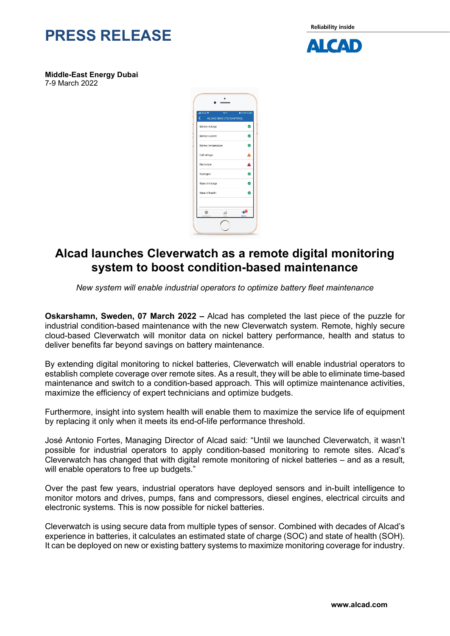

**Reliability inside** 



**Middle-East Energy Dubai** 7-9 March 2022

| <b>WANTED</b><br><b>B</b> < 100 % (20)<br>16:11<br>∢<br>ALCAD BMD (T01G497943) |                        |
|--------------------------------------------------------------------------------|------------------------|
| Battery voltage                                                                | Ø                      |
| Battery current                                                                | Ø                      |
| Battery temperature                                                            | Ø                      |
| Cell voltage                                                                   | ۵                      |
| Electrolyte                                                                    | Δ                      |
| Hydrogen                                                                       | Ø                      |
| State of charge                                                                | $\bullet$              |
| State of health                                                                | ¢                      |
| 論<br>Daste<br>Cole<br>bre:                                                     | 149<br><b>Alberton</b> |

## **Alcad launches Cleverwatch as a remote digital monitoring system to boost condition-based maintenance**

*New system will enable industrial operators to optimize battery fleet maintenance* 

**Oskarshamn, Sweden, 07 March 2022 –** Alcad has completed the last piece of the puzzle for industrial condition-based maintenance with the new Cleverwatch system. Remote, highly secure cloud-based Cleverwatch will monitor data on nickel battery performance, health and status to deliver benefits far beyond savings on battery maintenance.

By extending digital monitoring to nickel batteries, Cleverwatch will enable industrial operators to establish complete coverage over remote sites. As a result, they will be able to eliminate time-based maintenance and switch to a condition-based approach. This will optimize maintenance activities, maximize the efficiency of expert technicians and optimize budgets.

Furthermore, insight into system health will enable them to maximize the service life of equipment by replacing it only when it meets its end-of-life performance threshold.

José Antonio Fortes, Managing Director of Alcad said: "Until we launched Cleverwatch, it wasn't possible for industrial operators to apply condition-based monitoring to remote sites. Alcad's Cleverwatch has changed that with digital remote monitoring of nickel batteries – and as a result, will enable operators to free up budgets."

Over the past few years, industrial operators have deployed sensors and in-built intelligence to monitor motors and drives, pumps, fans and compressors, diesel engines, electrical circuits and electronic systems. This is now possible for nickel batteries.

Cleverwatch is using secure data from multiple types of sensor. Combined with decades of Alcad's experience in batteries, it calculates an estimated state of charge (SOC) and state of health (SOH). It can be deployed on new or existing battery systems to maximize monitoring coverage for industry.